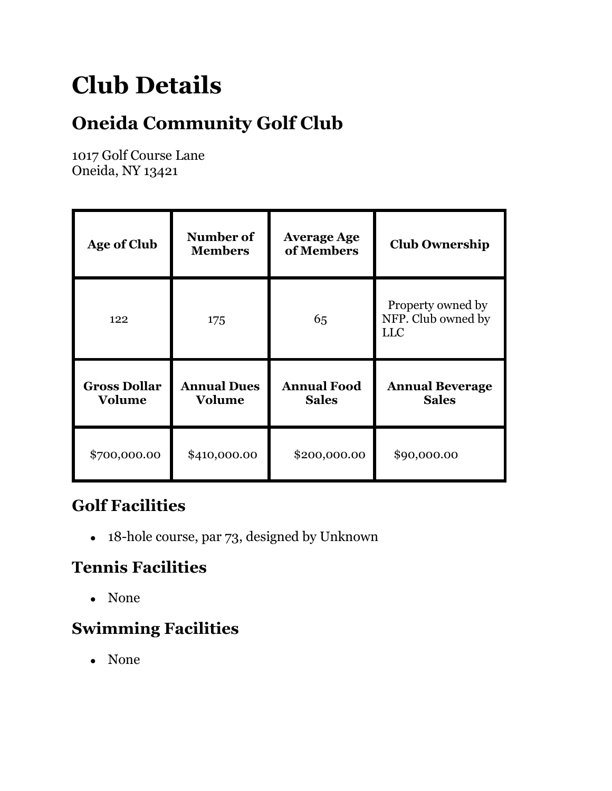# **Club Details**

# **Oneida Community Golf Club**

1017 Golf Course Lane Oneida, NY 13421

| Age of Club                          | Number of<br><b>Members</b>  | <b>Average Age</b><br>of Members   | <b>Club Ownership</b>                                 |
|--------------------------------------|------------------------------|------------------------------------|-------------------------------------------------------|
| 122                                  | 175                          | 65                                 | Property owned by<br>NFP. Club owned by<br><b>LLC</b> |
| <b>Gross Dollar</b><br><b>Volume</b> | <b>Annual Dues</b><br>Volume | <b>Annual Food</b><br><b>Sales</b> | <b>Annual Beverage</b><br><b>Sales</b>                |
| \$700,000.00                         | \$410,000.00                 | \$200,000.00                       | \$90,000.00                                           |

# **Golf Facilities**

● 18-hole course, par 73, designed by Unknown

# **Tennis Facilities**

• None

# **Swimming Facilities**

• None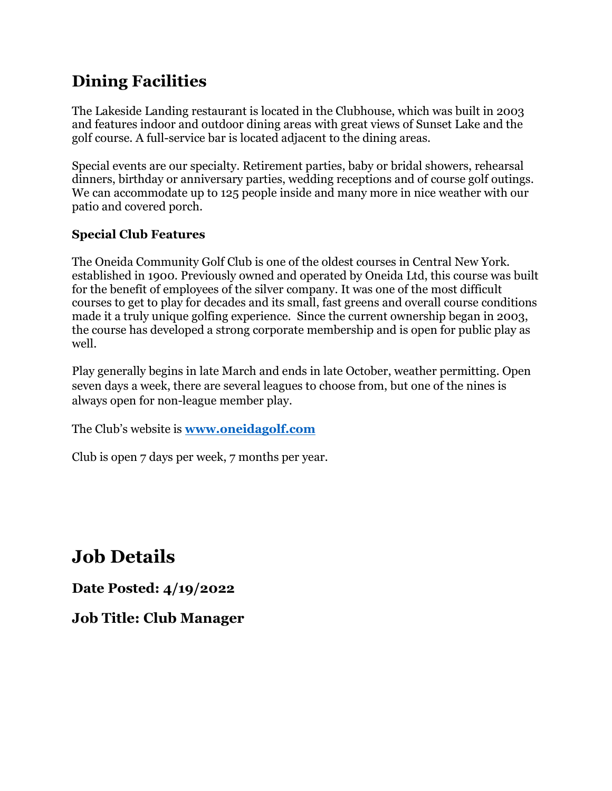# **Dining Facilities**

The Lakeside Landing restaurant is located in the Clubhouse, which was built in 2003 and features indoor and outdoor dining areas with great views of Sunset Lake and the golf course. A full-service bar is located adjacent to the dining areas.

Special events are our specialty. Retirement parties, baby or bridal showers, rehearsal dinners, birthday or anniversary parties, wedding receptions and of course golf outings. We can accommodate up to 125 people inside and many more in nice weather with our patio and covered porch.

## **Special Club Features**

The Oneida Community Golf Club is one of the oldest courses in Central New York. established in 1900. Previously owned and operated by Oneida Ltd, this course was built for the benefit of employees of the silver company. It was one of the most difficult courses to get to play for decades and its small, fast greens and overall course conditions made it a truly unique golfing experience. Since the current ownership began in 2003, the course has developed a strong corporate membership and is open for public play as well.

Play generally begins in late March and ends in late October, weather permitting. Open seven days a week, there are several leagues to choose from, but one of the nines is always open for non-league member play.

The Club's website is **[www.oneidagolf.com](http://www.oneidagolf.com/)**

Club is open 7 days per week, 7 months per year.

**Job Details**

**Date Posted: 4/19/2022**

**Job Title: Club Manager**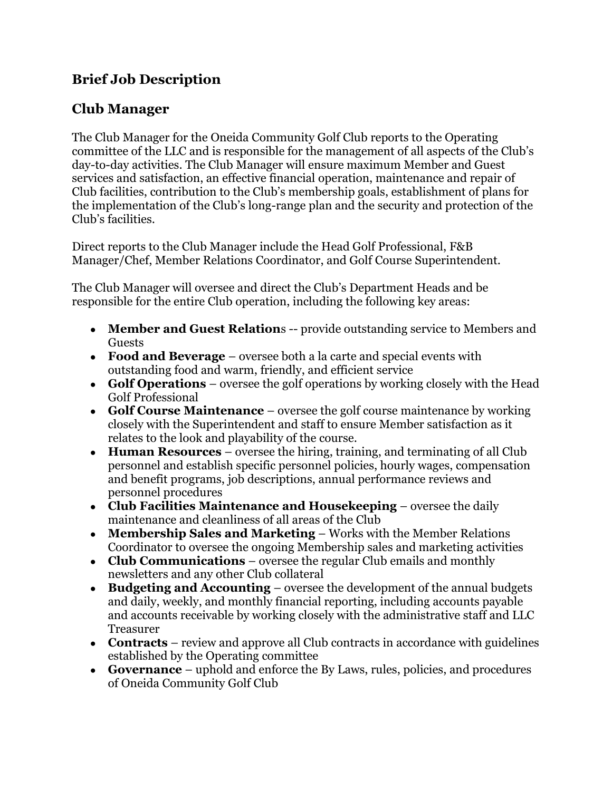# **Brief Job Description**

## **Club Manager**

The Club Manager for the Oneida Community Golf Club reports to the Operating committee of the LLC and is responsible for the management of all aspects of the Club's day-to-day activities. The Club Manager will ensure maximum Member and Guest services and satisfaction, an effective financial operation, maintenance and repair of Club facilities, contribution to the Club's membership goals, establishment of plans for the implementation of the Club's long-range plan and the security and protection of the Club's facilities.

Direct reports to the Club Manager include the Head Golf Professional, F&B Manager/Chef, Member Relations Coordinator, and Golf Course Superintendent.

The Club Manager will oversee and direct the Club's Department Heads and be responsible for the entire Club operation, including the following key areas:

- **Member and Guest Relations** -- provide outstanding service to Members and **Guests**
- **Food and Beverage** oversee both a la carte and special events with outstanding food and warm, friendly, and efficient service
- **Golf Operations** oversee the golf operations by working closely with the Head Golf Professional
- **Golf Course Maintenance** oversee the golf course maintenance by working closely with the Superintendent and staff to ensure Member satisfaction as it relates to the look and playability of the course.
- **Human Resources** oversee the hiring, training, and terminating of all Club personnel and establish specific personnel policies, hourly wages, compensation and benefit programs, job descriptions, annual performance reviews and personnel procedures
- **Club Facilities Maintenance and Housekeeping** oversee the daily maintenance and cleanliness of all areas of the Club
- **Membership Sales and Marketing** Works with the Member Relations Coordinator to oversee the ongoing Membership sales and marketing activities
- **Club Communications** oversee the regular Club emails and monthly newsletters and any other Club collateral
- **Budgeting and Accounting** oversee the development of the annual budgets and daily, weekly, and monthly financial reporting, including accounts payable and accounts receivable by working closely with the administrative staff and LLC Treasurer
- **Contracts** review and approve all Club contracts in accordance with guidelines established by the Operating committee
- **Governance** uphold and enforce the By Laws, rules, policies, and procedures of Oneida Community Golf Club